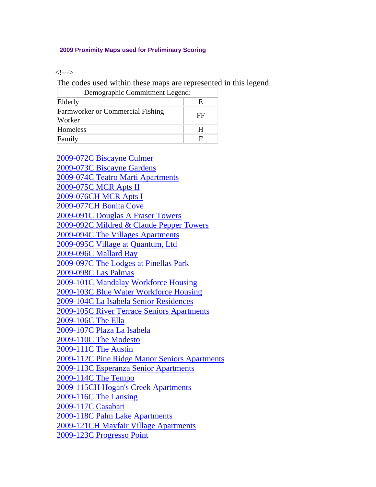## **2009 Proximity Maps used for Preliminary Scoring**

 $<!-->$ 

The codes used within these maps are represented in this legend

| Demographic Commitment Legend:                    |    |
|---------------------------------------------------|----|
| Elderly                                           | E. |
| <b>Farmworker or Commercial Fishing</b><br>Worker | FF |
| Homeless                                          | н  |
| Family                                            | E  |

[2009-072C Biscayne Culmer](http://www.floridahousing.org/FH-ImageWebDocs/UniversalApps/2009/Proximity%20Maps/2009-072C_Biscayne_Culmer.pdf) [2009-073C Biscayne Gardens](http://www.floridahousing.org/FH-ImageWebDocs/UniversalApps/2009/Proximity%20Maps/2009-073C_Biscayne_Gardens.pdf) [2009-074C Teatro Marti Apartments](http://www.floridahousing.org/FH-ImageWebDocs/UniversalApps/2009/Proximity%20Maps/2009-074C_Teatro_Marti_Apartments.pdf) [2009-075C MCR Apts II](http://www.floridahousing.org/FH-ImageWebDocs/UniversalApps/2009/Proximity%20Maps/2009-075C_MCR_Apts_II.pdf) [2009-076CH MCR Apts I](http://www.floridahousing.org/FH-ImageWebDocs/UniversalApps/2009/Proximity%20Maps/2009-076CH_MCR_Apts_I.pdf) [2009-077CH Bonita Cove](http://www.floridahousing.org/FH-ImageWebDocs/UniversalApps/2009/Proximity%20Maps/2009-077CH_Bonita_Cove.pdf) [2009-091C Douglas A Fraser Towers](http://www.floridahousing.org/FH-ImageWebDocs/UniversalApps/2009/Proximity%20Maps/2009-091C_Douglas_A_Fraser_Towers.pdf) [2009-092C Mildred & Claude Pepper Towers](http://www.floridahousing.org/FH-ImageWebDocs/UniversalApps/2009/Proximity%20Maps/2009-092C_Mildred_&_Claude_Pepper_Towers.pdf) [2009-094C The Villages Apartments](http://www.floridahousing.org/FH-ImageWebDocs/UniversalApps/2009/Proximity%20Maps/2009-094C_The_Villages_Apartments.pdf) [2009-095C Village at Quantum, Ltd](http://www.floridahousing.org/FH-ImageWebDocs/UniversalApps/2009/Proximity%20Maps/2009-095C_Village_at_Quantum,_Ltd.pdf) [2009-096C Mallard Bay](http://www.floridahousing.org/FH-ImageWebDocs/UniversalApps/2009/Proximity%20Maps/2009-096C_Mallard_Bay.pdf) [2009-097C The Lodges at Pinellas Park](http://www.floridahousing.org/FH-ImageWebDocs/UniversalApps/2009/Proximity%20Maps/2009-097C_The_Lodges_at_Pinellas_Park.pdf) [2009-098C Las Palmas](http://www.floridahousing.org/FH-ImageWebDocs/UniversalApps/2009/Proximity%20Maps/2009-098C_Las_Palmas.pdf) [2009-101C Mandalay Workforce Housing](http://www.floridahousing.org/FH-ImageWebDocs/UniversalApps/2009/Proximity%20Maps/2009-101C_Mandalay_Workforce_Housing.pdf) [2009-103C Blue Water Workforce Housing](http://www.floridahousing.org/FH-ImageWebDocs/UniversalApps/2009/Proximity%20Maps/2009-103C_Blue_Water_Workforce_Housing.pdf) [2009-104C La Isabela Senior Residences](http://www.floridahousing.org/FH-ImageWebDocs/UniversalApps/2009/Proximity%20Maps/2009-104C_La_Isabela_Senior_Residences.pdf) [2009-105C River Terrace Seniors Apartments](http://www.floridahousing.org/FH-ImageWebDocs/UniversalApps/2009/Proximity%20Maps/2009-105C_River_Terrace_Seniors_Apartments.pdf) [2009-106C The Ella](http://www.floridahousing.org/FH-ImageWebDocs/UniversalApps/2009/Proximity%20Maps/2009-106C_The_Ella.pdf) [2009-107C Plaza La Isabela](http://www.floridahousing.org/FH-ImageWebDocs/UniversalApps/2009/Proximity%20Maps/2009-107C_Plaza_La_Isabela.pdf) [2009-110C The Modesto](http://www.floridahousing.org/FH-ImageWebDocs/UniversalApps/2009/Proximity%20Maps/2009-110C_The_Modesto.pdf) [2009-111C The Austin](http://www.floridahousing.org/FH-ImageWebDocs/UniversalApps/2009/Proximity%20Maps/2009-111C_The_Austin.pdf) [2009-112C Pine Ridge Manor Seniors Apartments](http://www.floridahousing.org/FH-ImageWebDocs/UniversalApps/2009/Proximity%20Maps/2009-112C_Pine_Ridge_Manor_Seniors_Apartments.pdf) [2009-113C Esperanza Senior Apartments](http://www.floridahousing.org/FH-ImageWebDocs/UniversalApps/2009/Proximity%20Maps/2009-113C_Esperanza_Senior_Apartments.pdf) [2009-114C The Tempo](http://www.floridahousing.org/FH-ImageWebDocs/UniversalApps/2009/Proximity%20Maps/2009-114C_The_Tempo.pdf) [2009-115CH Hogan's Creek Apartments](http://www.floridahousing.org/FH-ImageWebDocs/UniversalApps/2009/Proximity%20Maps/2009-115CH_Hogan%27s_Creek_Apartments.pdf) [2009-116C The Lansing](http://www.floridahousing.org/FH-ImageWebDocs/UniversalApps/2009/Proximity%20Maps/2009-116C_The_Lansing.pdf) [2009-117C Casabari](http://www.floridahousing.org/FH-ImageWebDocs/UniversalApps/2009/Proximity%20Maps/2009-117C_Casabari.pdf) [2009-118C Palm Lake Apartments](http://www.floridahousing.org/FH-ImageWebDocs/UniversalApps/2009/Proximity%20Maps/2009-118C_Palm_Lake_Apartments.pdf) [2009-121CH Mayfair Village Apartments](http://www.floridahousing.org/FH-ImageWebDocs/UniversalApps/2009/Proximity%20Maps/2009-121CH_Mayfair_Village_Apartments.pdf) [2009-123C Progresso Point](http://www.floridahousing.org/FH-ImageWebDocs/UniversalApps/2009/Proximity%20Maps/2009-123C_Progresso_Point.pdf)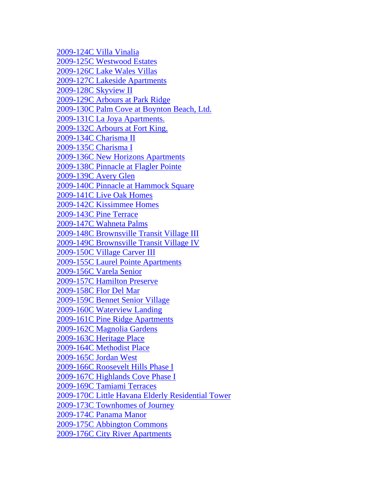[2009-124C Villa Vinalia](http://www.floridahousing.org/FH-ImageWebDocs/UniversalApps/2009/Proximity%20Maps/2009-124C_Villa_Vinalia.pdf) [2009-125C Westwood Estates](http://www.floridahousing.org/FH-ImageWebDocs/UniversalApps/2009/Proximity%20Maps/2009-125C_Westwood_Estates.pdf) [2009-126C Lake Wales Villas](http://www.floridahousing.org/FH-ImageWebDocs/UniversalApps/2009/Proximity%20Maps/2009-126C_Lake_Wales_Villas.pdf) [2009-127C Lakeside Apartments](http://www.floridahousing.org/FH-ImageWebDocs/UniversalApps/2009/Proximity%20Maps/2009-127C_Lakeside_Apartments.pdf) [2009-128C Skyview II](http://www.floridahousing.org/FH-ImageWebDocs/UniversalApps/2009/Proximity%20Maps/2009-128C_Skyview_II.pdf) [2009-129C Arbours at Park Ridge](http://www.floridahousing.org/FH-ImageWebDocs/UniversalApps/2009/Proximity%20Maps/2009-129C_Arbours_at_Park_Ridge.pdf) [2009-130C Palm Cove at Boynton Beach, Ltd.](http://www.floridahousing.org/FH-ImageWebDocs/UniversalApps/2009/Proximity%20Maps/2009-130C_Palm_Cove_at_Boynton_Beach,_Ltd..pdf) [2009-131C La Joya Apartments.](http://www.floridahousing.org/FH-ImageWebDocs/UniversalApps/2009/Proximity%20Maps/2009-131C_La_Joya_Apartments..pdf) [2009-132C Arbours at Fort King.](http://www.floridahousing.org/FH-ImageWebDocs/UniversalApps/2009/Proximity%20Maps/2009-132C_Arbours_at_Fort_King..pdf) [2009-134C Charisma II](http://www.floridahousing.org/FH-ImageWebDocs/UniversalApps/2009/Proximity%20Maps/2009-134C_Charisma_II.pdf) [2009-135C Charisma I](http://www.floridahousing.org/FH-ImageWebDocs/UniversalApps/2009/Proximity%20Maps/2009-135C_Charisma_I.pdf) [2009-136C New Horizons Apartments](http://www.floridahousing.org/FH-ImageWebDocs/UniversalApps/2009/Proximity%20Maps/2009-136C_New_Horizons_Apartments.pdf) [2009-138C Pinnacle at Flagler Pointe](http://www.floridahousing.org/FH-ImageWebDocs/UniversalApps/2009/Proximity%20Maps/2009-138C_Pinnacle_at_Flagler_Pointe.pdf) [2009-139C Avery Glen](http://www.floridahousing.org/FH-ImageWebDocs/UniversalApps/2009/Proximity%20Maps/2009-139C_Avery_Glen.pdf) [2009-140C Pinnacle at Hammock Square](http://www.floridahousing.org/FH-ImageWebDocs/UniversalApps/2009/Proximity%20Maps/2009-140C_Pinnacle_at_Hammock_Square.pdf) [2009-141C Live Oak Homes](http://www.floridahousing.org/FH-ImageWebDocs/UniversalApps/2009/Proximity%20Maps/2009-141C_Live_Oak_Homes.pdf) [2009-142C Kissimmee Homes](http://www.floridahousing.org/FH-ImageWebDocs/UniversalApps/2009/Proximity%20Maps/2009-142C_Kissimmee_Homes.pdf) [2009-143C Pine Terrace](http://www.floridahousing.org/FH-ImageWebDocs/UniversalApps/2009/Proximity%20Maps/2009-143C_Pine_Terrace.pdf) [2009-147C Wahneta Palms](http://www.floridahousing.org/FH-ImageWebDocs/UniversalApps/2009/Proximity%20Maps/2009-147C_Wahneta_Palms.pdf) [2009-148C Brownsville Transit Village III](http://www.floridahousing.org/FH-ImageWebDocs/UniversalApps/2009/Proximity%20Maps/2009-148C_Brownsville_Transit_Village_III.pdf) [2009-149C Brownsville Transit Village IV](http://www.floridahousing.org/FH-ImageWebDocs/UniversalApps/2009/Proximity%20Maps/2009-149C_Brownsville_Transit_Village_IV.pdf) [2009-150C Village Carver III](http://www.floridahousing.org/FH-ImageWebDocs/UniversalApps/2009/Proximity%20Maps/2009-150C_Village_Carver_III.pdf) [2009-155C Laurel Pointe Apartments](http://www.floridahousing.org/FH-ImageWebDocs/UniversalApps/2009/Proximity%20Maps/2009-155C_Laurel_Pointe_Apartments.pdf) [2009-156C Varela Senior](http://www.floridahousing.org/FH-ImageWebDocs/UniversalApps/2009/Proximity%20Maps/2009-156C_Varela_Senior.pdf) [2009-157C Hamilton Preserve](http://www.floridahousing.org/FH-ImageWebDocs/UniversalApps/2009/Proximity%20Maps/2009-157C_Hamilton_Preserve.pdf) [2009-158C Flor Del Mar](http://www.floridahousing.org/FH-ImageWebDocs/UniversalApps/2009/Proximity%20Maps/2009-158C_Flor_Del_Mar.pdf) [2009-159C Bennet Senior Village](http://www.floridahousing.org/FH-ImageWebDocs/UniversalApps/2009/Proximity%20Maps/2009-159C_Bennet_Senior_Village.pdf) [2009-160C Waterview Landing](http://www.floridahousing.org/FH-ImageWebDocs/UniversalApps/2009/Proximity%20Maps/2009-160C_Waterview_Landing.pdf) [2009-161C Pine Ridge Apartments](http://www.floridahousing.org/FH-ImageWebDocs/UniversalApps/2009/Proximity%20Maps/2009-161C_Pine_Ridge_Apartments.pdf) [2009-162C Magnolia Gardens](http://www.floridahousing.org/FH-ImageWebDocs/UniversalApps/2009/Proximity%20Maps/2009-162C_Magnolia_Gardens.pdf) [2009-163C Heritage Place](http://www.floridahousing.org/FH-ImageWebDocs/UniversalApps/2009/Proximity%20Maps/2009-163C_Heritage_Place.pdf) [2009-164C Methodist Place](http://www.floridahousing.org/FH-ImageWebDocs/UniversalApps/2009/Proximity%20Maps/2009-164C_Methodist_Place.pdf) [2009-165C Jordan West](http://www.floridahousing.org/FH-ImageWebDocs/UniversalApps/2009/Proximity%20Maps/2009-165C_Jordan_West.pdf) [2009-166C Roosevelt Hills Phase I](http://www.floridahousing.org/FH-ImageWebDocs/UniversalApps/2009/Proximity%20Maps/2009-166C_Roosevelt_Hills_Phase_I.pdf) [2009-167C Highlands Cove Phase I](http://www.floridahousing.org/FH-ImageWebDocs/UniversalApps/2009/Proximity%20Maps/2009-167C_Highlands_Cove_Phase_I.pdf) [2009-169C Tamiami Terraces](http://www.floridahousing.org/FH-ImageWebDocs/UniversalApps/2009/Proximity%20Maps/2009-169C_Tamiami_Terraces.pdf) [2009-170C Little Havana Elderly Residential Tower](http://www.floridahousing.org/FH-ImageWebDocs/UniversalApps/2009/Proximity%20Maps/2009-170C_Little_Havana_Elderly_Residential_Tower.pdf) [2009-173C Townhomes of Journey](http://www.floridahousing.org/FH-ImageWebDocs/UniversalApps/2009/Proximity%20Maps/2009-173C_Townhomes_of_Journey.pdf) [2009-174C Panama Manor](http://www.floridahousing.org/FH-ImageWebDocs/UniversalApps/2009/Proximity%20Maps/2009-174C_Panama_Manor.pdf) [2009-175C Abbington Commons](http://www.floridahousing.org/FH-ImageWebDocs/UniversalApps/2009/Proximity%20Maps/2009-175C_Abbington_Commons.pdf) [2009-176C City River Apartments](http://www.floridahousing.org/FH-ImageWebDocs/UniversalApps/2009/Proximity%20Maps/2009-176C_City_River_Apartments.pdf)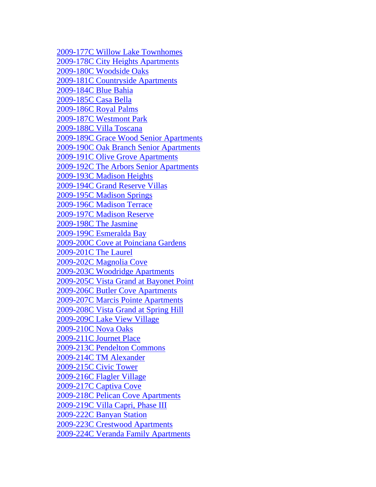[2009-177C Willow Lake Townhomes](http://www.floridahousing.org/FH-ImageWebDocs/UniversalApps/2009/Proximity%20Maps/2009-177C_Willow_Lake_Townhomes.pdf) [2009-178C City Heights Apartments](http://www.floridahousing.org/FH-ImageWebDocs/UniversalApps/2009/Proximity%20Maps/2009-178C_City_Heights_Apartments.pdf) [2009-180C Woodside Oaks](http://www.floridahousing.org/FH-ImageWebDocs/UniversalApps/2009/Proximity%20Maps/2009-180C_Woodside_Oaks.pdf) [2009-181C Countryside Apartments](http://www.floridahousing.org/FH-ImageWebDocs/UniversalApps/2009/Proximity%20Maps/2009-181C_Countryside_Apartments.pdf) [2009-184C Blue Bahia](http://www.floridahousing.org/FH-ImageWebDocs/UniversalApps/2009/Proximity%20Maps/2009-184C_Blue_Bahia.pdf) [2009-185C Casa Bella](http://www.floridahousing.org/FH-ImageWebDocs/UniversalApps/2009/Proximity%20Maps/2009-185C_Casa_Bella.pdf) [2009-186C Royal Palms](http://www.floridahousing.org/FH-ImageWebDocs/UniversalApps/2009/Proximity%20Maps/2009-186C_Royal_Palms.pdf) [2009-187C Westmont Park](http://www.floridahousing.org/FH-ImageWebDocs/UniversalApps/2009/Proximity%20Maps/2009-187C_Westmont_Park.pdf) [2009-188C Villa Toscana](http://www.floridahousing.org/FH-ImageWebDocs/UniversalApps/2009/Proximity%20Maps/2009-188C_Villa_Toscana.pdf) [2009-189C Grace Wood Senior Apartments](http://www.floridahousing.org/FH-ImageWebDocs/UniversalApps/2009/Proximity%20Maps/2009-189C_Grace_Wood_Senior_Apartments.pdf) [2009-190C Oak Branch Senior Apartments](http://www.floridahousing.org/FH-ImageWebDocs/UniversalApps/2009/Proximity%20Maps/2009-190C_Oak_Branch_Senior_Apartments.pdf) [2009-191C Olive Grove Apartments](http://www.floridahousing.org/FH-ImageWebDocs/UniversalApps/2009/Proximity%20Maps/2009-191C_Olive_Grove_Apartments.pdf) [2009-192C The Arbors Senior Apartments](http://www.floridahousing.org/FH-ImageWebDocs/UniversalApps/2009/Proximity%20Maps/2009-192C_The_Arbors_Senior_Apartments.pdf) [2009-193C Madison Heights](http://www.floridahousing.org/FH-ImageWebDocs/UniversalApps/2009/Proximity%20Maps/2009-193C_Madison_Heights.pdf) [2009-194C Grand Reserve Villas](http://www.floridahousing.org/FH-ImageWebDocs/UniversalApps/2009/Proximity%20Maps/2009-194C_Grand_Reserve_Villas.pdf) [2009-195C Madison Springs](http://www.floridahousing.org/FH-ImageWebDocs/UniversalApps/2009/Proximity%20Maps/2009-195C_Madison_Springs.pdf) [2009-196C Madison Terrace](http://www.floridahousing.org/FH-ImageWebDocs/UniversalApps/2009/Proximity%20Maps/2009-196C_Madison_Terrace.pdf) [2009-197C Madison Reserve](http://www.floridahousing.org/FH-ImageWebDocs/UniversalApps/2009/Proximity%20Maps/2009-197C_Madison_Reserve.pdf) [2009-198C The Jasmine](http://www.floridahousing.org/FH-ImageWebDocs/UniversalApps/2009/Proximity%20Maps/2009-198C_The_Jasmine.pdf) [2009-199C Esmeralda Bay](http://www.floridahousing.org/FH-ImageWebDocs/UniversalApps/2009/Proximity%20Maps/2009-199C_Esmeralda_Bay.pdf) [2009-200C Cove at Poinciana Gardens](http://www.floridahousing.org/FH-ImageWebDocs/UniversalApps/2009/Proximity%20Maps/2009-200C_Cove_at_Poinciana_Gardens.pdf) [2009-201C The Laurel](http://www.floridahousing.org/FH-ImageWebDocs/UniversalApps/2009/Proximity%20Maps/2009-201C_The_Laurel.pdf) [2009-202C Magnolia Cove](http://www.floridahousing.org/FH-ImageWebDocs/UniversalApps/2009/Proximity%20Maps/2009-202C_Magnolia_Cove.pdf) [2009-203C Woodridge Apartments](http://www.floridahousing.org/FH-ImageWebDocs/UniversalApps/2009/Proximity%20Maps/2009-203C_Woodridge_Apartments.pdf) [2009-205C Vista Grand at Bayonet Point](http://www.floridahousing.org/FH-ImageWebDocs/UniversalApps/2009/Proximity%20Maps/2009-205C_Vista_Grand_at_Bayonet_Point.pdf) [2009-206C Butler Cove Apartments](http://www.floridahousing.org/FH-ImageWebDocs/UniversalApps/2009/Proximity%20Maps/2009-206C_Butler_Cove_Apartments.pdf) [2009-207C Marcis Pointe Apartments](http://www.floridahousing.org/FH-ImageWebDocs/UniversalApps/2009/Proximity%20Maps/2009-207C_Marcis_Pointe_Apartments.pdf) [2009-208C Vista Grand at Spring Hill](http://www.floridahousing.org/FH-ImageWebDocs/UniversalApps/2009/Proximity%20Maps/2009-208C_Vista_Grand_at_Spring_Hill.pdf) [2009-209C Lake View Village](http://www.floridahousing.org/FH-ImageWebDocs/UniversalApps/2009/Proximity%20Maps/2009-209C_Lake_View_Village.pdf) [2009-210C Nova Oaks](http://www.floridahousing.org/FH-ImageWebDocs/UniversalApps/2009/Proximity%20Maps/2009-210C_Nova_Oaks.pdf) [2009-211C Journet Place](http://www.floridahousing.org/FH-ImageWebDocs/UniversalApps/2009/Proximity%20Maps/2009-211C_Journet_Place.pdf) [2009-213C Pendelton Commons](http://www.floridahousing.org/FH-ImageWebDocs/UniversalApps/2009/Proximity%20Maps/2009-213C_Pendelton_Commons.pdf) [2009-214C TM Alexander](http://www.floridahousing.org/FH-ImageWebDocs/UniversalApps/2009/Proximity%20Maps/2009-214C_TM_Alexander.pdf) [2009-215C Civic Tower](http://www.floridahousing.org/FH-ImageWebDocs/UniversalApps/2009/Proximity%20Maps/2009-215C_Civic_Tower.pdf) [2009-216C Flagler Village](http://www.floridahousing.org/FH-ImageWebDocs/UniversalApps/2009/Proximity%20Maps/2009-216C_Flagler_Village.pdf) [2009-217C Captiva Cove](http://www.floridahousing.org/FH-ImageWebDocs/UniversalApps/2009/Proximity%20Maps/2009-217C_Captiva_Cove.pdf) [2009-218C Pelican Cove Apartments](http://www.floridahousing.org/FH-ImageWebDocs/UniversalApps/2009/Proximity%20Maps/2009-218C_Pelican_Cove_Apartments.pdf) [2009-219C Villa Capri, Phase III](http://www.floridahousing.org/FH-ImageWebDocs/UniversalApps/2009/Proximity%20Maps/2009-219C_Villa_Capri,_Phase_III.pdf) [2009-222C Banyan Station](http://www.floridahousing.org/FH-ImageWebDocs/UniversalApps/2009/Proximity%20Maps/2009-222C_Banyan_Station.pdf) [2009-223C Crestwood Apartments](http://www.floridahousing.org/FH-ImageWebDocs/UniversalApps/2009/Proximity%20Maps/2009-223C_Crestwood_Apartments.pdf) [2009-224C Veranda Family Apartments](http://www.floridahousing.org/FH-ImageWebDocs/UniversalApps/2009/Proximity%20Maps/2009-224C_Veranda_Family_Apartments.pdf)